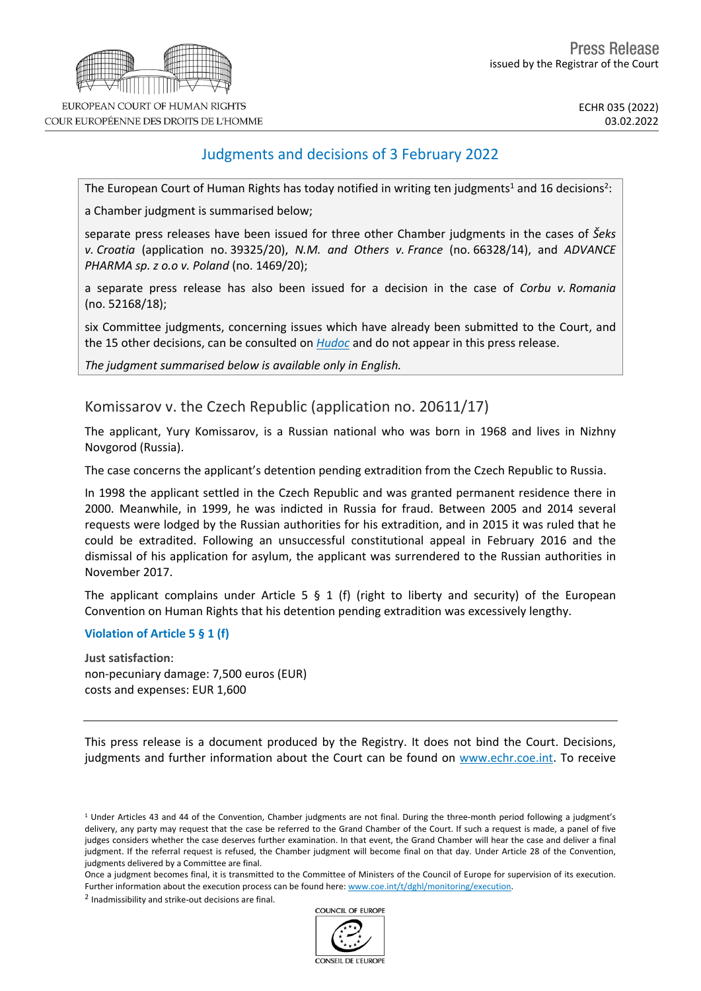

COUR EUROPÉENNE DES DROITS DE L'HOMME

## Judgments and decisions of 3 February 2022

The European Court of Human Rights has today notified in writing ten judgments<sup>1</sup> and 16 decisions<sup>2</sup>:

a Chamber judgment is summarised below;

separate press releases have been issued for three other Chamber judgments in the cases of *Šeks v. Croatia* (application no. 39325/20), *N.M. and Others v. France* (no. 66328/14), and *ADVANCE PHARMA sp. z o.o v. Poland* (no. 1469/20);

a separate press release has also been issued for a decision in the case of *Corbu v. Romania* (no. 52168/18);

six Committee judgments, concerning issues which have already been submitted to the Court, and the 15 other decisions, can be consulted on *[Hudoc](http://hudoc.echr.coe.int/sites/eng/Pages/search.aspx#%7B)* and do not appear in this press release.

*The judgment summarised below is available only in English.*

Komissarov v. the Czech Republic (application no. 20611/17)

The applicant, Yury Komissarov, is a Russian national who was born in 1968 and lives in Nizhny Novgorod (Russia).

The case concerns the applicant's detention pending extradition from the Czech Republic to Russia.

In 1998 the applicant settled in the Czech Republic and was granted permanent residence there in 2000. Meanwhile, in 1999, he was indicted in Russia for fraud. Between 2005 and 2014 several requests were lodged by the Russian authorities for his extradition, and in 2015 it was ruled that he could be extradited. Following an unsuccessful constitutional appeal in February 2016 and the dismissal of his application for asylum, the applicant was surrendered to the Russian authorities in November 2017.

The applicant complains under Article 5  $\S$  1 (f) (right to liberty and security) of the European Convention on Human Rights that his detention pending extradition was excessively lengthy.

## **Violation of Article 5 § 1 (f)**

**Just satisfaction**: non-pecuniary damage: 7,500 euros (EUR) costs and expenses: EUR 1,600

This press release is a document produced by the Registry. It does not bind the Court. Decisions, judgments and further information about the Court can be found on <www.echr.coe.int>. To receive

Once a judgment becomes final, it is transmitted to the Committee of Ministers of the Council of Europe for supervision of its execution. Further information about the execution process can be found here: [www.coe.int/t/dghl/monitoring/execution](http://www.coe.int/t/dghl/monitoring/execution).

<sup>2</sup> Inadmissibility and strike-out decisions are final.



CONSEIL DE L'EUROPE

<sup>1</sup> Under Articles 43 and 44 of the Convention, Chamber judgments are not final. During the three-month period following a judgment's delivery, any party may request that the case be referred to the Grand Chamber of the Court. If such a request is made, a panel of five judges considers whether the case deserves further examination. In that event, the Grand Chamber will hear the case and deliver a final judgment. If the referral request is refused, the Chamber judgment will become final on that day. Under Article 28 of the Convention, judgments delivered by a Committee are final.